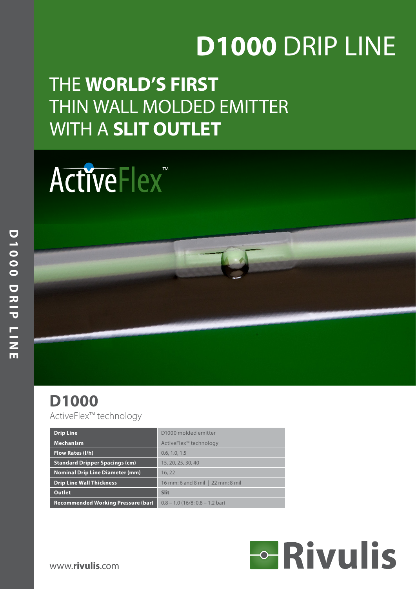# **D1000** DRIP LINE

# THE **WORLD'S FIRST** THIN WALL MOLDED EMITTER WITH A **SLIT OUTLET**

# ActiveFlex<sup>™</sup>

## **D1000**

ActiveFlex™ technology

| <b>Drip Line</b>                          | D1000 molded emitter               |
|-------------------------------------------|------------------------------------|
| <b>Mechanism</b>                          | ActiveFlex <sup>™</sup> technology |
| <b>Flow Rates (I/h)</b>                   | 0.6, 1.0, 1.5                      |
| <b>Standard Dripper Spacings (cm)</b>     | 15, 20, 25, 30, 40                 |
| <b>Nominal Drip Line Diameter (mm)</b>    | 16.22                              |
| <b>Drip Line Wall Thickness</b>           | 16 mm: 6 and 8 mil   22 mm: 8 mil  |
| <b>Outlet</b>                             | <b>Slit</b>                        |
| <b>Recommended Working Pressure (bar)</b> | $0.8 - 1.0$ (16/8: 0.8 – 1.2 bar)  |

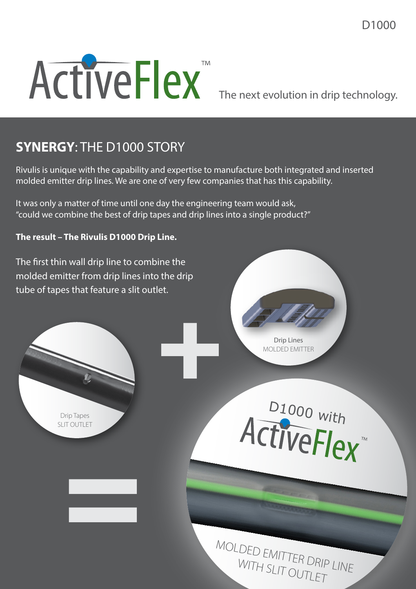

The next evolution in drip technology.

#### **SYNERGY**: THE D1000 STORY

Rivulis is unique with the capability and expertise to manufacture both integrated and inserted molded emitter drip lines. We are one of very few companies that has this capability.

It was only a matter of time until one day the engineering team would ask, "could we combine the best of drip tapes and drip lines into a single product?"

#### **The result – The Rivulis D1000 Drip Line.**

The first thin wall drip line to combine the molded emitter from drip lines into the drip tube of tapes that feature a slit outlet.

=





MOLDED EMITTER DRIP LINE WITH SLIT OUTLET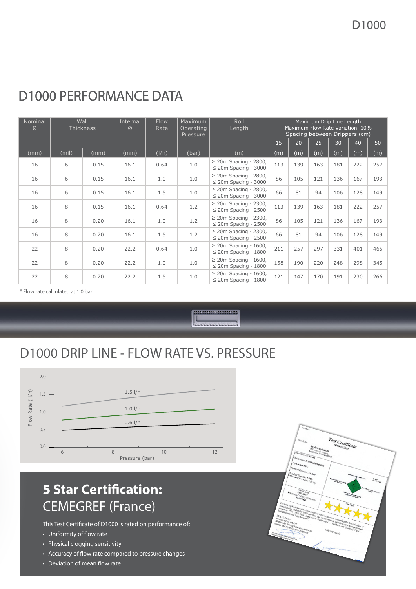| Nominal<br>Ø | Wall<br><b>Thickness</b> |      | Internal<br>Ø | Roll<br>Maximum<br><b>Flow</b><br>Operating<br>Length<br>Rate<br>Pressure |       |                                                         |     |     | Maximum Drip Line Length<br>Maximum Flow Rate Variation: 10%<br>Spacing between Drippers (cm) |     |     |     |  |  |
|--------------|--------------------------|------|---------------|---------------------------------------------------------------------------|-------|---------------------------------------------------------|-----|-----|-----------------------------------------------------------------------------------------------|-----|-----|-----|--|--|
|              |                          |      |               |                                                                           |       |                                                         | 15  | 20  | 25 <sub>2</sub>                                                                               | 30  | 40  | 50  |  |  |
| (mm)         | (mil)                    | (mm) | (mm)          | (I/h)                                                                     | (bar) | (m)                                                     | (m) | (m) | (m)                                                                                           | (m) | (m) | (m) |  |  |
| 16           | 6                        | 0.15 | 16.1          | 0.64                                                                      | 1.0   | $\geq$ 20m Spacing - 2800,<br>$\leq$ 20m Spacing - 3000 | 113 | 139 | 163                                                                                           | 181 | 222 | 257 |  |  |
| 16           | 6                        | 0.15 | 16.1          | 1.0                                                                       | 1.0   | $\geq$ 20m Spacing - 2800,<br>$\leq$ 20m Spacing - 3000 | 86  | 105 | 121                                                                                           | 136 | 167 | 193 |  |  |
| 16           | 6                        | 0.15 | 16.1          | 1.5                                                                       | 1.0   | $\geq$ 20m Spacing - 2800,<br>$\leq$ 20m Spacing - 3000 | 66  | 81  | 94                                                                                            | 106 | 128 | 149 |  |  |
| 16           | 8                        | 0.15 | 16.1          | 0.64                                                                      | 1.2   | $\geq$ 20m Spacing - 2300,<br>$\leq$ 20m Spacing - 2500 | 113 | 139 | 163                                                                                           | 181 | 222 | 257 |  |  |
| 16           | 8                        | 0.20 | 16.1          | 1.0                                                                       | 1.2   | $\geq$ 20m Spacing - 2300,<br>$\leq$ 20m Spacing - 2500 | 86  | 105 | 121                                                                                           | 136 | 167 | 193 |  |  |
| 16           | 8                        | 0.20 | 16.1          | 1.5                                                                       | 1.2   | $\geq$ 20m Spacing - 2300,<br>$\leq$ 20m Spacing - 2500 | 66  | 81  | 94                                                                                            | 106 | 128 | 149 |  |  |
| 22           | 8                        | 0.20 | 22.2          | 0.64                                                                      | 1.0   | $\geq$ 20m Spacing - 1600,<br>$\leq$ 20m Spacing - 1800 | 211 | 257 | 297                                                                                           | 331 | 401 | 465 |  |  |
| 22           | 8                        | 0.20 | 22.2          | 1.0                                                                       | 1.0   | $\geq$ 20m Spacing - 1600,<br>$\leq$ 20m Spacing - 1800 | 158 | 190 | 220                                                                                           | 248 | 298 | 345 |  |  |
| 22           | 8                        | 0.20 | 22.2          | 1.5                                                                       | 1.0   | $\geq$ 20m Spacing - 1600,<br>$\leq$ 20m Spacing - 1800 | 121 | 147 | 170                                                                                           | 191 | 230 | 266 |  |  |

#### D1000 PERFORMANCE DATA

\* Flow rate calculated at 1.0 bar.



#### D1000 DRIP LINE - FLOW RATE VS. PRESSURE



#### **5 Star Certification:**  CEMEGREF (France)

the This Test cfriend of D1000 is rated on performance of: w rate ng sensitivity w rate compared to pressure changes ean flow rate